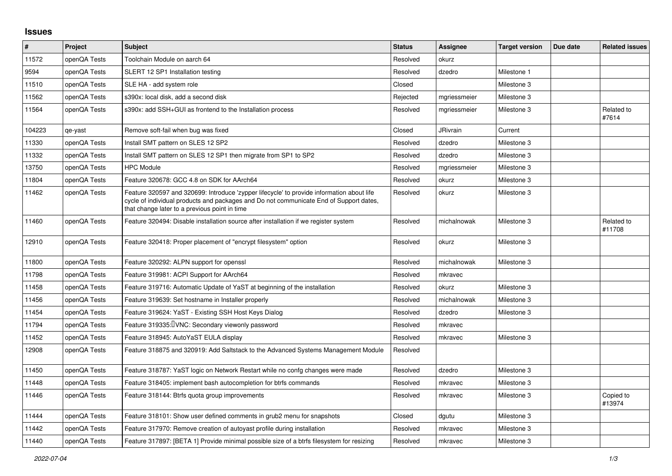## **Issues**

| #      | Project      | <b>Subject</b>                                                                                                                                                                                                                       | <b>Status</b> | <b>Assignee</b> | <b>Target version</b> | Due date | <b>Related issues</b> |
|--------|--------------|--------------------------------------------------------------------------------------------------------------------------------------------------------------------------------------------------------------------------------------|---------------|-----------------|-----------------------|----------|-----------------------|
| 11572  | openQA Tests | Toolchain Module on aarch 64                                                                                                                                                                                                         | Resolved      | okurz           |                       |          |                       |
| 9594   | openQA Tests | SLERT 12 SP1 Installation testing                                                                                                                                                                                                    | Resolved      | dzedro          | Milestone 1           |          |                       |
| 11510  | openQA Tests | SLE HA - add system role                                                                                                                                                                                                             | Closed        |                 | Milestone 3           |          |                       |
| 11562  | openQA Tests | s390x: local disk, add a second disk                                                                                                                                                                                                 | Rejected      | mgriessmeier    | Milestone 3           |          |                       |
| 11564  | openQA Tests | s390x: add SSH+GUI as frontend to the Installation process                                                                                                                                                                           | Resolved      | mgriessmeier    | Milestone 3           |          | Related to<br>#7614   |
| 104223 | qe-yast      | Remove soft-fail when bug was fixed                                                                                                                                                                                                  | Closed        | <b>JRivrain</b> | Current               |          |                       |
| 11330  | openQA Tests | Install SMT pattern on SLES 12 SP2                                                                                                                                                                                                   | Resolved      | dzedro          | Milestone 3           |          |                       |
| 11332  | openQA Tests | Install SMT pattern on SLES 12 SP1 then migrate from SP1 to SP2                                                                                                                                                                      | Resolved      | dzedro          | Milestone 3           |          |                       |
| 13750  | openQA Tests | <b>HPC Module</b>                                                                                                                                                                                                                    | Resolved      | mgriessmeier    | Milestone 3           |          |                       |
| 11804  | openQA Tests | Feature 320678: GCC 4.8 on SDK for AArch64                                                                                                                                                                                           | Resolved      | okurz           | Milestone 3           |          |                       |
| 11462  | openQA Tests | Feature 320597 and 320699: Introduce 'zypper lifecycle' to provide information about life<br>cycle of individual products and packages and Do not communicate End of Support dates,<br>that change later to a previous point in time | Resolved      | okurz           | Milestone 3           |          |                       |
| 11460  | openQA Tests | Feature 320494: Disable installation source after installation if we register system                                                                                                                                                 | Resolved      | michalnowak     | Milestone 3           |          | Related to<br>#11708  |
| 12910  | openQA Tests | Feature 320418: Proper placement of "encrypt filesystem" option                                                                                                                                                                      | Resolved      | okurz           | Milestone 3           |          |                       |
| 11800  | openQA Tests | Feature 320292: ALPN support for openssl                                                                                                                                                                                             | Resolved      | michalnowak     | Milestone 3           |          |                       |
| 11798  | openQA Tests | Feature 319981: ACPI Support for AArch64                                                                                                                                                                                             | Resolved      | mkravec         |                       |          |                       |
| 11458  | openQA Tests | Feature 319716: Automatic Update of YaST at beginning of the installation                                                                                                                                                            | Resolved      | okurz           | Milestone 3           |          |                       |
| 11456  | openQA Tests | Feature 319639: Set hostname in Installer properly                                                                                                                                                                                   | Resolved      | michalnowak     | Milestone 3           |          |                       |
| 11454  | openQA Tests | Feature 319624: YaST - Existing SSH Host Keys Dialog                                                                                                                                                                                 | Resolved      | dzedro          | Milestone 3           |          |                       |
| 11794  | openQA Tests | Feature 319335: <b>VNC:</b> Secondary viewonly password                                                                                                                                                                              | Resolved      | mkravec         |                       |          |                       |
| 11452  | openQA Tests | Feature 318945: AutoYaST EULA display                                                                                                                                                                                                | Resolved      | mkravec         | Milestone 3           |          |                       |
| 12908  | openQA Tests | Feature 318875 and 320919: Add Saltstack to the Advanced Systems Management Module                                                                                                                                                   | Resolved      |                 |                       |          |                       |
| 11450  | openQA Tests | Feature 318787: YaST logic on Network Restart while no confg changes were made                                                                                                                                                       | Resolved      | dzedro          | Milestone 3           |          |                       |
| 11448  | openQA Tests | Feature 318405: implement bash autocompletion for btrfs commands                                                                                                                                                                     | Resolved      | mkravec         | Milestone 3           |          |                       |
| 11446  | openQA Tests | Feature 318144: Btrfs quota group improvements                                                                                                                                                                                       | Resolved      | mkravec         | Milestone 3           |          | Copied to<br>#13974   |
| 11444  | openQA Tests | Feature 318101: Show user defined comments in grub2 menu for snapshots                                                                                                                                                               | Closed        | dgutu           | Milestone 3           |          |                       |
| 11442  | openQA Tests | Feature 317970: Remove creation of autoyast profile during installation                                                                                                                                                              | Resolved      | mkravec         | Milestone 3           |          |                       |
| 11440  | openQA Tests | Feature 317897: [BETA 1] Provide minimal possible size of a btrfs filesystem for resizing                                                                                                                                            | Resolved      | mkravec         | Milestone 3           |          |                       |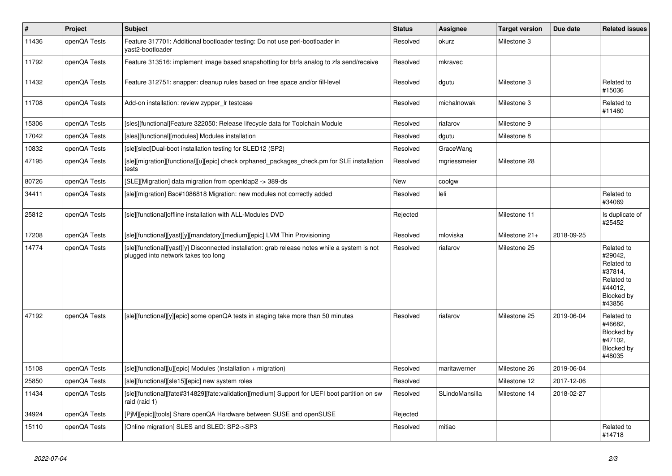| $\pmb{\#}$ | <b>Project</b> | <b>Subject</b>                                                                                                                        | <b>Status</b> | <b>Assignee</b> | <b>Target version</b> | Due date   | <b>Related issues</b>                                                                           |
|------------|----------------|---------------------------------------------------------------------------------------------------------------------------------------|---------------|-----------------|-----------------------|------------|-------------------------------------------------------------------------------------------------|
| 11436      | openQA Tests   | Feature 317701: Additional bootloader testing: Do not use perl-bootloader in<br>yast2-bootloader                                      | Resolved      | okurz           | Milestone 3           |            |                                                                                                 |
| 11792      | openQA Tests   | Feature 313516: implement image based snapshotting for btrfs analog to zfs send/receive                                               | Resolved      | mkravec         |                       |            |                                                                                                 |
| 11432      | openQA Tests   | Feature 312751: snapper: cleanup rules based on free space and/or fill-level                                                          | Resolved      | dgutu           | Milestone 3           |            | Related to<br>#15036                                                                            |
| 11708      | openQA Tests   | Add-on installation: review zypper Ir testcase                                                                                        | Resolved      | michalnowak     | Milestone 3           |            | Related to<br>#11460                                                                            |
| 15306      | openQA Tests   | [sles][functional]Feature 322050: Release lifecycle data for Toolchain Module                                                         | Resolved      | riafarov        | Milestone 9           |            |                                                                                                 |
| 17042      | openQA Tests   | [sles][functional][modules] Modules installation                                                                                      | Resolved      | dgutu           | Milestone 8           |            |                                                                                                 |
| 10832      | openQA Tests   | [sle][sled]Dual-boot installation testing for SLED12 (SP2)                                                                            | Resolved      | GraceWang       |                       |            |                                                                                                 |
| 47195      | openQA Tests   | [sle][migration][functional][u][epic] check orphaned packages check.pm for SLE installation<br>tests                                  | Resolved      | mgriessmeier    | Milestone 28          |            |                                                                                                 |
| 80726      | openQA Tests   | [SLE][Migration] data migration from openIdap2 -> 389-ds                                                                              | <b>New</b>    | coolgw          |                       |            |                                                                                                 |
| 34411      | openQA Tests   | [sle][migration] Bsc#1086818 Migration: new modules not correctly added                                                               | Resolved      | leli            |                       |            | Related to<br>#34069                                                                            |
| 25812      | openQA Tests   | [sle][functional]offline installation with ALL-Modules DVD                                                                            | Rejected      |                 | Milestone 11          |            | Is duplicate of<br>#25452                                                                       |
| 17208      | openQA Tests   | [sle][functional][yast][y][mandatory][medium][epic] LVM Thin Provisioning                                                             | Resolved      | mloviska        | Milestone 21+         | 2018-09-25 |                                                                                                 |
| 14774      | openQA Tests   | [sle][functional][yast][y] Disconnected installation: grab release notes while a system is not<br>plugged into network takes too long | Resolved      | riafarov        | Milestone 25          |            | Related to<br>#29042,<br>Related to<br>#37814,<br>Related to<br>#44012.<br>Blocked by<br>#43856 |
| 47192      | openQA Tests   | [sle][functional][y][epic] some openQA tests in staging take more than 50 minutes                                                     | Resolved      | riafarov        | Milestone 25          | 2019-06-04 | Related to<br>#46682,<br>Blocked by<br>#47102,<br>Blocked by<br>#48035                          |
| 15108      | openQA Tests   | [sle][functional][u][epic] Modules (Installation + migration)                                                                         | Resolved      | maritawerner    | Milestone 26          | 2019-06-04 |                                                                                                 |
| 25850      | openQA Tests   | [sle][functional][sle15][epic] new system roles                                                                                       | Resolved      |                 | Milestone 12          | 2017-12-06 |                                                                                                 |
| 11434      | openQA Tests   | [sle][functional][fate#314829][fate:validation][medium] Support for UEFI boot partition on sw<br>raid (raid 1)                        | Resolved      | SLindoMansilla  | Milestone 14          | 2018-02-27 |                                                                                                 |
| 34924      | openQA Tests   | [PjM][epic][tools] Share openQA Hardware between SUSE and openSUSE                                                                    | Rejected      |                 |                       |            |                                                                                                 |
| 15110      | openQA Tests   | [Online migration] SLES and SLED: SP2->SP3                                                                                            | Resolved      | mitiao          |                       |            | Related to<br>#14718                                                                            |